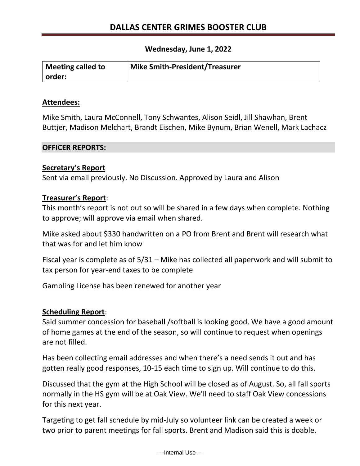## **Wednesday, June 1, 2022**

| <b>Meeting called to</b> | Mike Smith-President/Treasurer |
|--------------------------|--------------------------------|
| order:                   |                                |

### **Attendees:**

Mike Smith, Laura McConnell, Tony Schwantes, Alison Seidl, Jill Shawhan, Brent Buttjer, Madison Melchart, Brandt Eischen, Mike Bynum, Brian Wenell, Mark Lachacz

### **OFFICER REPORTS:**

## **Secretary's Report**

Sent via email previously. No Discussion. Approved by Laura and Alison

## **Treasurer's Report**:

This month's report is not out so will be shared in a few days when complete. Nothing to approve; will approve via email when shared.

Mike asked about \$330 handwritten on a PO from Brent and Brent will research what that was for and let him know

Fiscal year is complete as of 5/31 – Mike has collected all paperwork and will submit to tax person for year-end taxes to be complete

Gambling License has been renewed for another year

## **Scheduling Report**:

Said summer concession for baseball /softball is looking good. We have a good amount of home games at the end of the season, so will continue to request when openings are not filled.

Has been collecting email addresses and when there's a need sends it out and has gotten really good responses, 10-15 each time to sign up. Will continue to do this.

Discussed that the gym at the High School will be closed as of August. So, all fall sports normally in the HS gym will be at Oak View. We'll need to staff Oak View concessions for this next year.

Targeting to get fall schedule by mid-July so volunteer link can be created a week or two prior to parent meetings for fall sports. Brent and Madison said this is doable.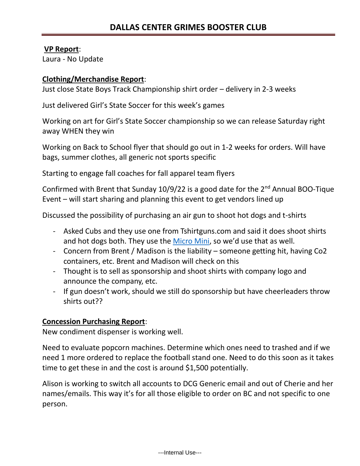## **VP Report**:

Laura - No Update

# **Clothing/Merchandise Report**:

Just close State Boys Track Championship shirt order – delivery in 2-3 weeks

Just delivered Girl's State Soccer for this week's games

Working on art for Girl's State Soccer championship so we can release Saturday right away WHEN they win

Working on Back to School flyer that should go out in 1-2 weeks for orders. Will have bags, summer clothes, all generic not sports specific

Starting to engage fall coaches for fall apparel team flyers

Confirmed with Brent that Sunday  $10/9/22$  is a good date for the  $2<sup>nd</sup>$  Annual BOO-Tique Event – will start sharing and planning this event to get vendors lined up

Discussed the possibility of purchasing an air gun to shoot hot dogs and t-shirts

- Asked Cubs and they use one from Tshirtguns.com and said it does shoot shirts and hot dogs both. They use the [Micro Mini,](https://urldefense.com/v3/__https:/tshirtgun.com/product/micro-mini/__;!!Eq8rgdkfa9r_yJvCTg!zrY8wwjTLfVnDQD75qLTgwVmgy_iazfjnsGE7rdgCp4sWIgrj4wmUI8acAjACh-kVYbuGLclvchE6vaVBbkiJdj88a3fMg$) so we'd use that as well.
- Concern from Brent / Madison is the liability someone getting hit, having Co2 containers, etc. Brent and Madison will check on this
- Thought is to sell as sponsorship and shoot shirts with company logo and announce the company, etc.
- If gun doesn't work, should we still do sponsorship but have cheerleaders throw shirts out??

# **Concession Purchasing Report**:

New condiment dispenser is working well.

Need to evaluate popcorn machines. Determine which ones need to trashed and if we need 1 more ordered to replace the football stand one. Need to do this soon as it takes time to get these in and the cost is around \$1,500 potentially.

Alison is working to switch all accounts to DCG Generic email and out of Cherie and her names/emails. This way it's for all those eligible to order on BC and not specific to one person.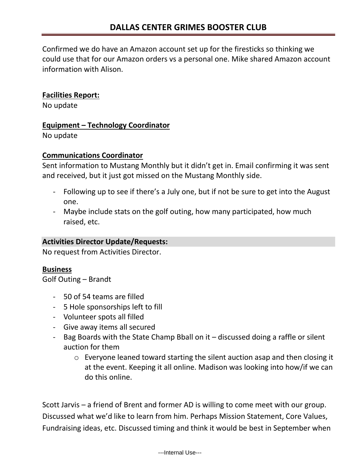Confirmed we do have an Amazon account set up for the firesticks so thinking we could use that for our Amazon orders vs a personal one. Mike shared Amazon account information with Alison.

## **Facilities Report:**

No update

## **Equipment – Technology Coordinator**

No update

## **Communications Coordinator**

Sent information to Mustang Monthly but it didn't get in. Email confirming it was sent and received, but it just got missed on the Mustang Monthly side.

- Following up to see if there's a July one, but if not be sure to get into the August one.
- Maybe include stats on the golf outing, how many participated, how much raised, etc.

# **Activities Director Update/Requests:**

No request from Activities Director.

# **Business**

Golf Outing – Brandt

- 50 of 54 teams are filled
- 5 Hole sponsorships left to fill
- Volunteer spots all filled
- Give away items all secured
- Bag Boards with the State Champ Bball on it discussed doing a raffle or silent auction for them
	- o Everyone leaned toward starting the silent auction asap and then closing it at the event. Keeping it all online. Madison was looking into how/if we can do this online.

Scott Jarvis – a friend of Brent and former AD is willing to come meet with our group. Discussed what we'd like to learn from him. Perhaps Mission Statement, Core Values, Fundraising ideas, etc. Discussed timing and think it would be best in September when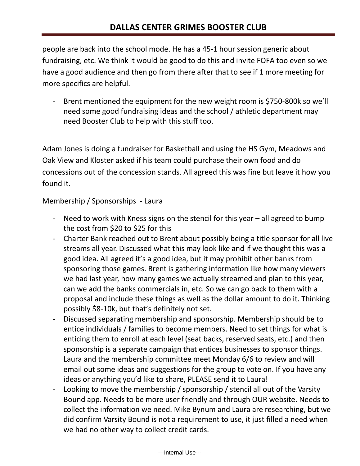people are back into the school mode. He has a 45-1 hour session generic about fundraising, etc. We think it would be good to do this and invite FOFA too even so we have a good audience and then go from there after that to see if 1 more meeting for more specifics are helpful.

- Brent mentioned the equipment for the new weight room is \$750-800k so we'll need some good fundraising ideas and the school / athletic department may need Booster Club to help with this stuff too.

Adam Jones is doing a fundraiser for Basketball and using the HS Gym, Meadows and Oak View and Kloster asked if his team could purchase their own food and do concessions out of the concession stands. All agreed this was fine but leave it how you found it.

Membership / Sponsorships - Laura

- Need to work with Kness signs on the stencil for this year all agreed to bump the cost from \$20 to \$25 for this
- Charter Bank reached out to Brent about possibly being a title sponsor for all live streams all year. Discussed what this may look like and if we thought this was a good idea. All agreed it's a good idea, but it may prohibit other banks from sponsoring those games. Brent is gathering information like how many viewers we had last year, how many games we actually streamed and plan to this year, can we add the banks commercials in, etc. So we can go back to them with a proposal and include these things as well as the dollar amount to do it. Thinking possibly \$8-10k, but that's definitely not set.
- Discussed separating membership and sponsorship. Membership should be to entice individuals / families to become members. Need to set things for what is enticing them to enroll at each level (seat backs, reserved seats, etc.) and then sponsorship is a separate campaign that entices businesses to sponsor things. Laura and the membership committee meet Monday 6/6 to review and will email out some ideas and suggestions for the group to vote on. If you have any ideas or anything you'd like to share, PLEASE send it to Laura!
- Looking to move the membership / sponsorship / stencil all out of the Varsity Bound app. Needs to be more user friendly and through OUR website. Needs to collect the information we need. Mike Bynum and Laura are researching, but we did confirm Varsity Bound is not a requirement to use, it just filled a need when we had no other way to collect credit cards.